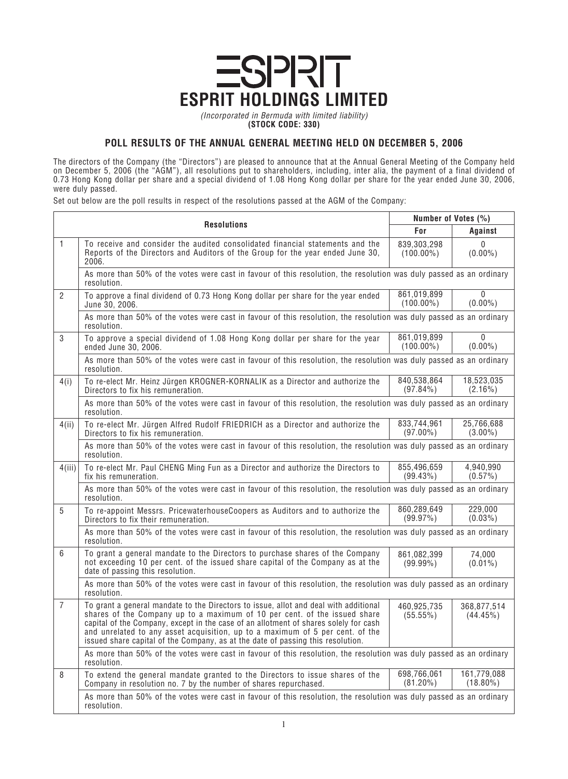## **ESPRIT HOLDINGS LIMITED**

*(Incorporated in Bermuda with limited liability)* **(STOCK CODE: 330)**

## **POLL RESULTS OF THE ANNUAL GENERAL MEETING HELD ON DECEMBER 5, 2006**

*The directors of the Company (the "Directors") are pleased to announce that at the Annual General Meeting of the Company held on December 5, 2006 (the "AGM"), all resolutions put to shareholders, including, inter alia, the payment of a final dividend of 0.73 Hong Kong dollar per share and a special dividend of 1.08 Hong Kong dollar per share for the year ended June 30, 2006, were duly passed.*

*Set out below are the poll results in respect of the resolutions passed at the AGM of the Company:*

| <b>Resolutions</b> |                                                                                                                                                                                                                                                                                                                                                                                                                               | Number of Votes (%)         |                            |  |
|--------------------|-------------------------------------------------------------------------------------------------------------------------------------------------------------------------------------------------------------------------------------------------------------------------------------------------------------------------------------------------------------------------------------------------------------------------------|-----------------------------|----------------------------|--|
|                    |                                                                                                                                                                                                                                                                                                                                                                                                                               | For                         | Against                    |  |
| $\mathbf{1}$       | To receive and consider the audited consolidated financial statements and the<br>Reports of the Directors and Auditors of the Group for the year ended June 30,<br>2006.                                                                                                                                                                                                                                                      | 839,303,298<br>$(100.00\%)$ | 0<br>$(0.00\%)$            |  |
|                    | As more than 50% of the votes were cast in favour of this resolution, the resolution was duly passed as an ordinary<br>resolution.                                                                                                                                                                                                                                                                                            |                             |                            |  |
| $\overline{2}$     | To approve a final dividend of 0.73 Hong Kong dollar per share for the year ended<br>June 30, 2006.                                                                                                                                                                                                                                                                                                                           | 861,019,899<br>$(100.00\%)$ | 0<br>$(0.00\%)$            |  |
|                    | As more than 50% of the votes were cast in favour of this resolution, the resolution was duly passed as an ordinary<br>resolution.                                                                                                                                                                                                                                                                                            |                             |                            |  |
| 3                  | To approve a special dividend of 1.08 Hong Kong dollar per share for the year<br>ended June 30, 2006.                                                                                                                                                                                                                                                                                                                         | 861,019,899<br>$(100.00\%)$ | $\bf{0}$<br>$(0.00\%)$     |  |
|                    | As more than 50% of the votes were cast in favour of this resolution, the resolution was duly passed as an ordinary<br>resolution.                                                                                                                                                                                                                                                                                            |                             |                            |  |
| 4(i)               | To re-elect Mr. Heinz Jürgen KROGNER-KORNALIK as a Director and authorize the<br>Directors to fix his remuneration.                                                                                                                                                                                                                                                                                                           | 840,538,864<br>$(97.84\%)$  | 18,523,035<br>$(2.16\%)$   |  |
|                    | As more than 50% of the votes were cast in favour of this resolution, the resolution was duly passed as an ordinary<br>resolution.                                                                                                                                                                                                                                                                                            |                             |                            |  |
| 4(ii)              | To re-elect Mr. Jürgen Alfred Rudolf FRIEDRICH as a Director and authorize the<br>Directors to fix his remuneration.                                                                                                                                                                                                                                                                                                          | 833,744,961<br>$(97.00\%)$  | 25,766,688<br>$(3.00\%)$   |  |
|                    | As more than 50% of the votes were cast in favour of this resolution, the resolution was duly passed as an ordinary<br>resolution.                                                                                                                                                                                                                                                                                            |                             |                            |  |
| 4(iii)             | To re-elect Mr. Paul CHENG Ming Fun as a Director and authorize the Directors to<br>fix his remuneration.                                                                                                                                                                                                                                                                                                                     | 855,496,659<br>$(99.43\%)$  | 4,940,990<br>$(0.57\%)$    |  |
|                    | As more than 50% of the votes were cast in favour of this resolution, the resolution was duly passed as an ordinary<br>resolution.                                                                                                                                                                                                                                                                                            |                             |                            |  |
| 5                  | To re-appoint Messrs. PricewaterhouseCoopers as Auditors and to authorize the<br>Directors to fix their remuneration.                                                                                                                                                                                                                                                                                                         | 860,289,649<br>(99.97%)     | 229,000<br>$(0.03\%)$      |  |
|                    | As more than 50% of the votes were cast in favour of this resolution, the resolution was duly passed as an ordinary<br>resolution.                                                                                                                                                                                                                                                                                            |                             |                            |  |
| 6                  | To grant a general mandate to the Directors to purchase shares of the Company<br>not exceeding 10 per cent. of the issued share capital of the Company as at the<br>date of passing this resolution.                                                                                                                                                                                                                          | 861,082,399<br>$(99.99\%)$  | 74,000<br>$(0.01\%)$       |  |
|                    | As more than 50% of the votes were cast in favour of this resolution, the resolution was duly passed as an ordinary<br>resolution.                                                                                                                                                                                                                                                                                            |                             |                            |  |
| $\overline{7}$     | To grant a general mandate to the Directors to issue, allot and deal with additional<br>shares of the Company up to a maximum of 10 per cent. of the issued share<br>capital of the Company, except in the case of an allotment of shares solely for cash<br>and unrelated to any asset acquisition, up to a maximum of 5 per cent. of the<br>issued share capital of the Company, as at the date of passing this resolution. | 460,925,735<br>$(55.55\%)$  | 368,877,514<br>$(44.45\%)$ |  |
|                    | As more than 50% of the votes were cast in favour of this resolution, the resolution was duly passed as an ordinary<br>resolution.                                                                                                                                                                                                                                                                                            |                             |                            |  |
| 8                  | To extend the general mandate granted to the Directors to issue shares of the<br>Company in resolution no. 7 by the number of shares repurchased.                                                                                                                                                                                                                                                                             | 698,766,061<br>$(81.20\%)$  | 161,779,088<br>$(18.80\%)$ |  |
|                    | As more than 50% of the votes were cast in favour of this resolution, the resolution was duly passed as an ordinary<br>resolution.                                                                                                                                                                                                                                                                                            |                             |                            |  |